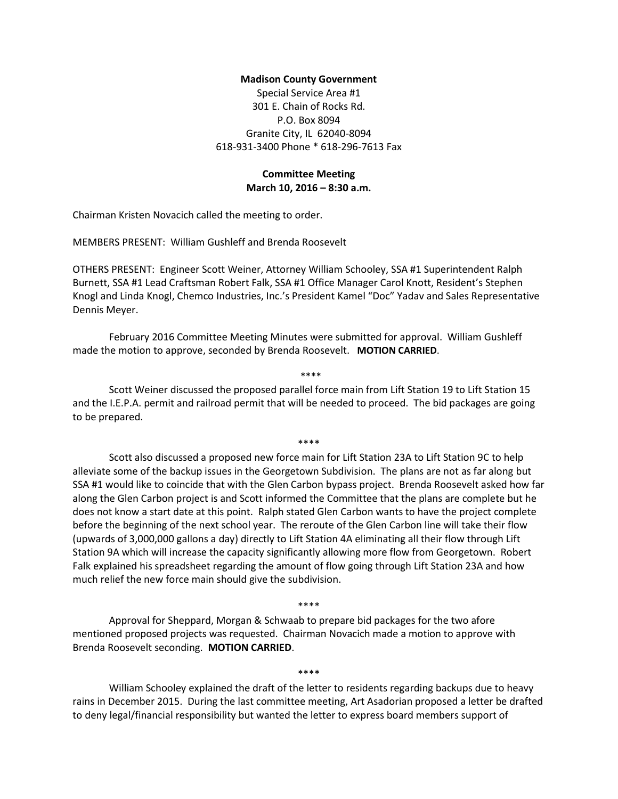### **Madison County Government**

Special Service Area #1 301 E. Chain of Rocks Rd. P.O. Box 8094 Granite City, IL 62040-8094 618-931-3400 Phone \* 618-296-7613 Fax

# **Committee Meeting March 10, 2016 – 8:30 a.m.**

Chairman Kristen Novacich called the meeting to order.

MEMBERS PRESENT: William Gushleff and Brenda Roosevelt

OTHERS PRESENT: Engineer Scott Weiner, Attorney William Schooley, SSA #1 Superintendent Ralph Burnett, SSA #1 Lead Craftsman Robert Falk, SSA #1 Office Manager Carol Knott, Resident's Stephen Knogl and Linda Knogl, Chemco Industries, Inc.'s President Kamel "Doc" Yadav and Sales Representative Dennis Meyer.

February 2016 Committee Meeting Minutes were submitted for approval. William Gushleff made the motion to approve, seconded by Brenda Roosevelt. **MOTION CARRIED**.

Scott Weiner discussed the proposed parallel force main from Lift Station 19 to Lift Station 15 and the I.E.P.A. permit and railroad permit that will be needed to proceed. The bid packages are going to be prepared.

\*\*\*\*

\*\*\*\*

Scott also discussed a proposed new force main for Lift Station 23A to Lift Station 9C to help alleviate some of the backup issues in the Georgetown Subdivision. The plans are not as far along but SSA #1 would like to coincide that with the Glen Carbon bypass project. Brenda Roosevelt asked how far along the Glen Carbon project is and Scott informed the Committee that the plans are complete but he does not know a start date at this point. Ralph stated Glen Carbon wants to have the project complete before the beginning of the next school year. The reroute of the Glen Carbon line will take their flow (upwards of 3,000,000 gallons a day) directly to Lift Station 4A eliminating all their flow through Lift Station 9A which will increase the capacity significantly allowing more flow from Georgetown. Robert Falk explained his spreadsheet regarding the amount of flow going through Lift Station 23A and how much relief the new force main should give the subdivision.

\*\*\*\*

Approval for Sheppard, Morgan & Schwaab to prepare bid packages for the two afore mentioned proposed projects was requested. Chairman Novacich made a motion to approve with Brenda Roosevelt seconding. **MOTION CARRIED**.

\*\*\*\*

William Schooley explained the draft of the letter to residents regarding backups due to heavy rains in December 2015. During the last committee meeting, Art Asadorian proposed a letter be drafted to deny legal/financial responsibility but wanted the letter to express board members support of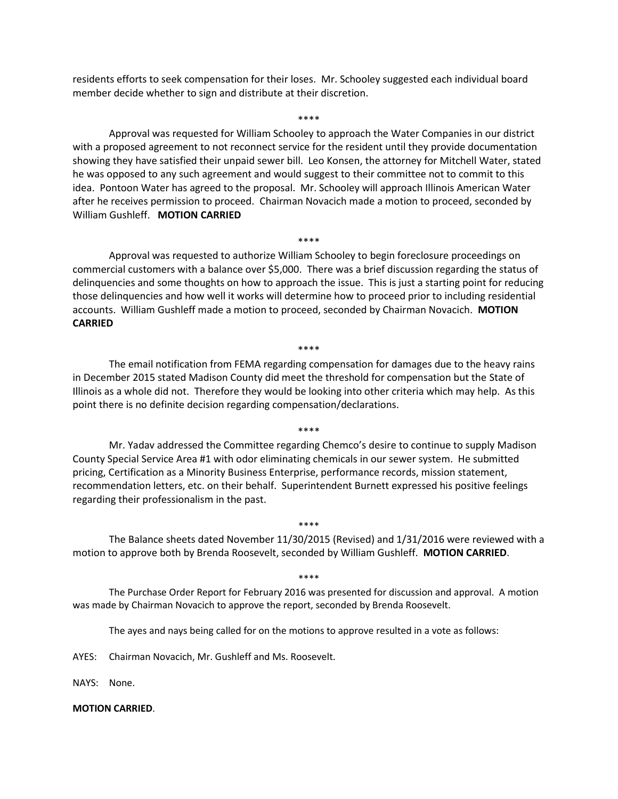residents efforts to seek compensation for their loses. Mr. Schooley suggested each individual board member decide whether to sign and distribute at their discretion.

\*\*\*\*

Approval was requested for William Schooley to approach the Water Companies in our district with a proposed agreement to not reconnect service for the resident until they provide documentation showing they have satisfied their unpaid sewer bill. Leo Konsen, the attorney for Mitchell Water, stated he was opposed to any such agreement and would suggest to their committee not to commit to this idea. Pontoon Water has agreed to the proposal. Mr. Schooley will approach Illinois American Water after he receives permission to proceed. Chairman Novacich made a motion to proceed, seconded by William Gushleff. **MOTION CARRIED**

Approval was requested to authorize William Schooley to begin foreclosure proceedings on commercial customers with a balance over \$5,000. There was a brief discussion regarding the status of delinquencies and some thoughts on how to approach the issue. This is just a starting point for reducing those delinquencies and how well it works will determine how to proceed prior to including residential accounts. William Gushleff made a motion to proceed, seconded by Chairman Novacich. **MOTION CARRIED**

\*\*\*\*

### \*\*\*\*

The email notification from FEMA regarding compensation for damages due to the heavy rains in December 2015 stated Madison County did meet the threshold for compensation but the State of Illinois as a whole did not. Therefore they would be looking into other criteria which may help. As this point there is no definite decision regarding compensation/declarations.

#### \*\*\*\*

Mr. Yadav addressed the Committee regarding Chemco's desire to continue to supply Madison County Special Service Area #1 with odor eliminating chemicals in our sewer system. He submitted pricing, Certification as a Minority Business Enterprise, performance records, mission statement, recommendation letters, etc. on their behalf. Superintendent Burnett expressed his positive feelings regarding their professionalism in the past.

### \*\*\*\*

The Balance sheets dated November 11/30/2015 (Revised) and 1/31/2016 were reviewed with a motion to approve both by Brenda Roosevelt, seconded by William Gushleff. **MOTION CARRIED**.

#### \*\*\*\*

The Purchase Order Report for February 2016 was presented for discussion and approval. A motion was made by Chairman Novacich to approve the report, seconded by Brenda Roosevelt.

The ayes and nays being called for on the motions to approve resulted in a vote as follows:

AYES: Chairman Novacich, Mr. Gushleff and Ms. Roosevelt.

NAYS: None.

### **MOTION CARRIED**.